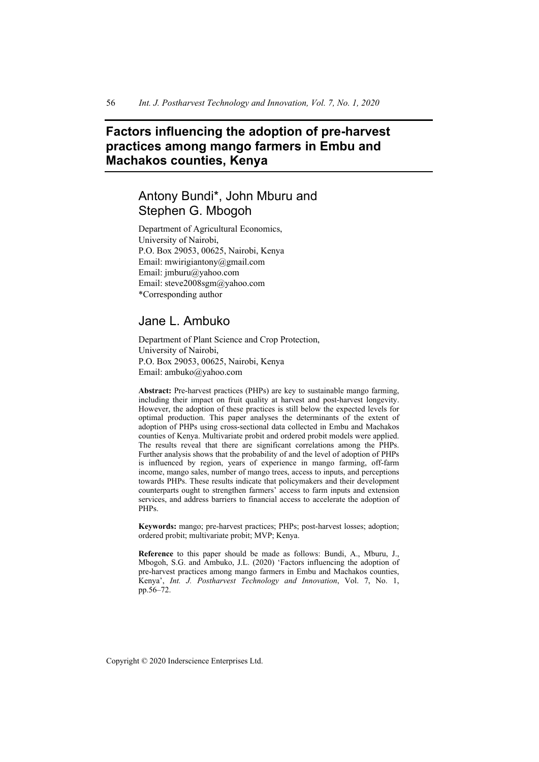# **Factors influencing the adoption of pre-harvest practices among mango farmers in Embu and Machakos counties, Kenya**

# Antony Bundi\*, John Mburu and Stephen G. Mbogoh

Department of Agricultural Economics, University of Nairobi, P.O. Box 29053, 00625, Nairobi, Kenya Email: mwirigiantony@gmail.com Email: jmburu@yahoo.com Email: steve2008sgm@yahoo.com \*Corresponding author

# Jane L. Ambuko

Department of Plant Science and Crop Protection, University of Nairobi, P.O. Box 29053, 00625, Nairobi, Kenya Email: ambuko@yahoo.com

**Abstract:** Pre-harvest practices (PHPs) are key to sustainable mango farming, including their impact on fruit quality at harvest and post-harvest longevity. However, the adoption of these practices is still below the expected levels for optimal production. This paper analyses the determinants of the extent of adoption of PHPs using cross-sectional data collected in Embu and Machakos counties of Kenya. Multivariate probit and ordered probit models were applied. The results reveal that there are significant correlations among the PHPs. Further analysis shows that the probability of and the level of adoption of PHPs is influenced by region, years of experience in mango farming, off-farm income, mango sales, number of mango trees, access to inputs, and perceptions towards PHPs. These results indicate that policymakers and their development counterparts ought to strengthen farmers' access to farm inputs and extension services, and address barriers to financial access to accelerate the adoption of PHPs.

**Keywords:** mango; pre-harvest practices; PHPs; post-harvest losses; adoption; ordered probit; multivariate probit; MVP; Kenya.

**Reference** to this paper should be made as follows: Bundi, A., Mburu, J., Mbogoh, S.G. and Ambuko, J.L. (2020) 'Factors influencing the adoption of pre-harvest practices among mango farmers in Embu and Machakos counties, Kenya', *Int. J. Postharvest Technology and Innovation*, Vol. 7, No. 1, pp.56–72.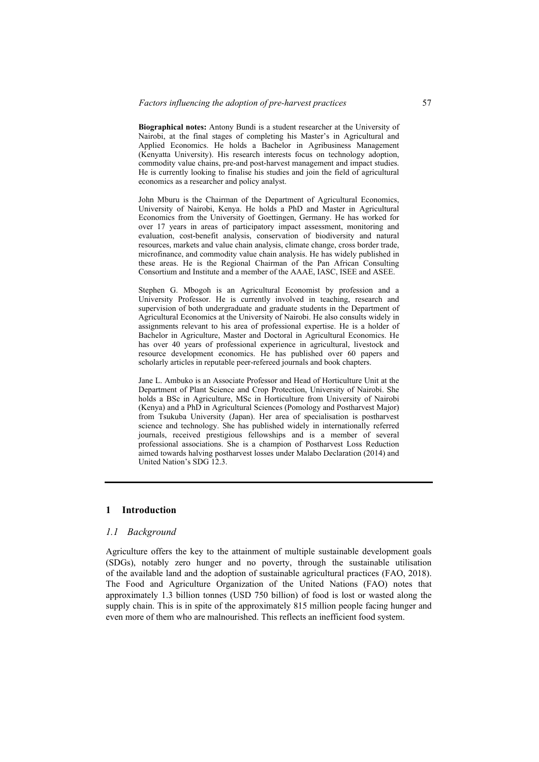**Biographical notes:** Antony Bundi is a student researcher at the University of Nairobi, at the final stages of completing his Master's in Agricultural and Applied Economics. He holds a Bachelor in Agribusiness Management (Kenyatta University). His research interests focus on technology adoption, commodity value chains, pre-and post-harvest management and impact studies. He is currently looking to finalise his studies and join the field of agricultural economics as a researcher and policy analyst.

John Mburu is the Chairman of the Department of Agricultural Economics, University of Nairobi, Kenya. He holds a PhD and Master in Agricultural Economics from the University of Goettingen, Germany. He has worked for over 17 years in areas of participatory impact assessment, monitoring and evaluation, cost-benefit analysis, conservation of biodiversity and natural resources, markets and value chain analysis, climate change, cross border trade, microfinance, and commodity value chain analysis. He has widely published in these areas. He is the Regional Chairman of the Pan African Consulting Consortium and Institute and a member of the AAAE, IASC, ISEE and ASEE.

Stephen G. Mbogoh is an Agricultural Economist by profession and a University Professor. He is currently involved in teaching, research and supervision of both undergraduate and graduate students in the Department of Agricultural Economics at the University of Nairobi. He also consults widely in assignments relevant to his area of professional expertise. He is a holder of Bachelor in Agriculture, Master and Doctoral in Agricultural Economics. He has over 40 years of professional experience in agricultural, livestock and resource development economics. He has published over 60 papers and scholarly articles in reputable peer-refereed journals and book chapters.

Jane L. Ambuko is an Associate Professor and Head of Horticulture Unit at the Department of Plant Science and Crop Protection, University of Nairobi. She holds a BSc in Agriculture, MSc in Horticulture from University of Nairobi (Kenya) and a PhD in Agricultural Sciences (Pomology and Postharvest Major) from Tsukuba University (Japan). Her area of specialisation is postharvest science and technology. She has published widely in internationally referred journals, received prestigious fellowships and is a member of several professional associations. She is a champion of Postharvest Loss Reduction aimed towards halving postharvest losses under Malabo Declaration (2014) and United Nation's SDG 12.3.

# **1 Introduction**

#### *1.1 Background*

Agriculture offers the key to the attainment of multiple sustainable development goals (SDGs), notably zero hunger and no poverty, through the sustainable utilisation of the available land and the adoption of sustainable agricultural practices (FAO, 2018). The Food and Agriculture Organization of the United Nations (FAO) notes that approximately 1.3 billion tonnes (USD 750 billion) of food is lost or wasted along the supply chain. This is in spite of the approximately 815 million people facing hunger and even more of them who are malnourished. This reflects an inefficient food system.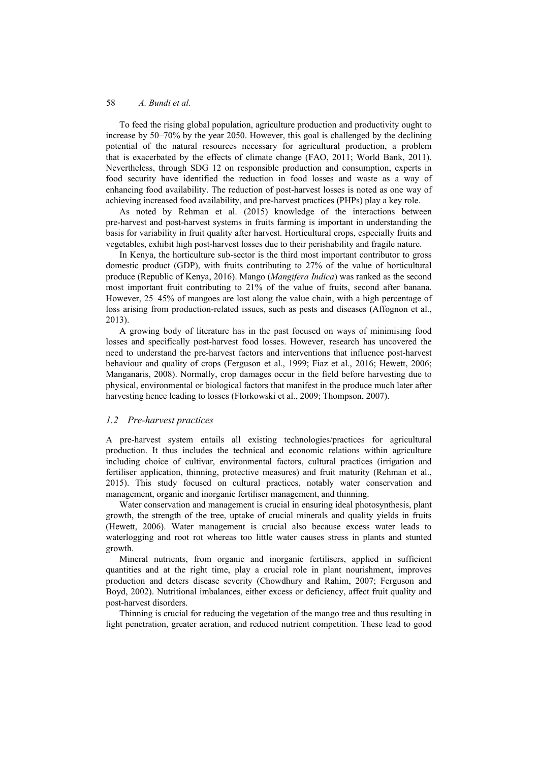To feed the rising global population, agriculture production and productivity ought to increase by 50–70% by the year 2050. However, this goal is challenged by the declining potential of the natural resources necessary for agricultural production, a problem that is exacerbated by the effects of climate change (FAO, 2011; World Bank, 2011). Nevertheless, through SDG 12 on responsible production and consumption, experts in food security have identified the reduction in food losses and waste as a way of enhancing food availability. The reduction of post-harvest losses is noted as one way of achieving increased food availability, and pre-harvest practices (PHPs) play a key role.

As noted by Rehman et al. (2015) knowledge of the interactions between pre-harvest and post-harvest systems in fruits farming is important in understanding the basis for variability in fruit quality after harvest. Horticultural crops, especially fruits and vegetables, exhibit high post-harvest losses due to their perishability and fragile nature.

In Kenya, the horticulture sub-sector is the third most important contributor to gross domestic product (GDP), with fruits contributing to 27% of the value of horticultural produce (Republic of Kenya, 2016). Mango (*Mangifera Indica*) was ranked as the second most important fruit contributing to 21% of the value of fruits, second after banana. However, 25–45% of mangoes are lost along the value chain, with a high percentage of loss arising from production-related issues, such as pests and diseases (Affognon et al., 2013).

A growing body of literature has in the past focused on ways of minimising food losses and specifically post-harvest food losses. However, research has uncovered the need to understand the pre-harvest factors and interventions that influence post-harvest behaviour and quality of crops (Ferguson et al., 1999; Fiaz et al., 2016; Hewett, 2006; Manganaris, 2008). Normally, crop damages occur in the field before harvesting due to physical, environmental or biological factors that manifest in the produce much later after harvesting hence leading to losses (Florkowski et al., 2009; Thompson, 2007).

## *1.2 Pre-harvest practices*

A pre-harvest system entails all existing technologies/practices for agricultural production. It thus includes the technical and economic relations within agriculture including choice of cultivar, environmental factors, cultural practices (irrigation and fertiliser application, thinning, protective measures) and fruit maturity (Rehman et al., 2015). This study focused on cultural practices, notably water conservation and management, organic and inorganic fertiliser management, and thinning.

Water conservation and management is crucial in ensuring ideal photosynthesis, plant growth, the strength of the tree, uptake of crucial minerals and quality yields in fruits (Hewett, 2006). Water management is crucial also because excess water leads to waterlogging and root rot whereas too little water causes stress in plants and stunted growth.

Mineral nutrients, from organic and inorganic fertilisers, applied in sufficient quantities and at the right time, play a crucial role in plant nourishment, improves production and deters disease severity (Chowdhury and Rahim, 2007; Ferguson and Boyd, 2002). Nutritional imbalances, either excess or deficiency, affect fruit quality and post-harvest disorders.

Thinning is crucial for reducing the vegetation of the mango tree and thus resulting in light penetration, greater aeration, and reduced nutrient competition. These lead to good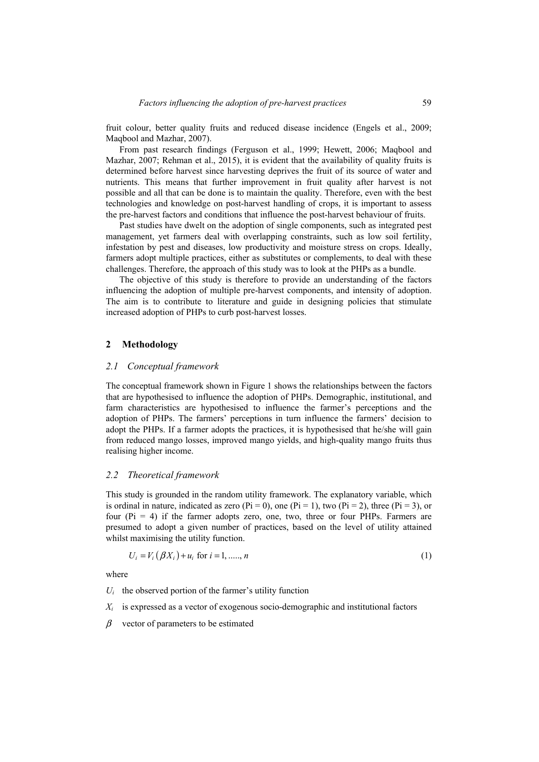fruit colour, better quality fruits and reduced disease incidence (Engels et al., 2009; Maqbool and Mazhar, 2007).

From past research findings (Ferguson et al., 1999; Hewett, 2006; Maqbool and Mazhar, 2007; Rehman et al., 2015), it is evident that the availability of quality fruits is determined before harvest since harvesting deprives the fruit of its source of water and nutrients. This means that further improvement in fruit quality after harvest is not possible and all that can be done is to maintain the quality. Therefore, even with the best technologies and knowledge on post-harvest handling of crops, it is important to assess the pre-harvest factors and conditions that influence the post-harvest behaviour of fruits.

Past studies have dwelt on the adoption of single components, such as integrated pest management, yet farmers deal with overlapping constraints, such as low soil fertility, infestation by pest and diseases, low productivity and moisture stress on crops. Ideally, farmers adopt multiple practices, either as substitutes or complements, to deal with these challenges. Therefore, the approach of this study was to look at the PHPs as a bundle.

The objective of this study is therefore to provide an understanding of the factors influencing the adoption of multiple pre-harvest components, and intensity of adoption. The aim is to contribute to literature and guide in designing policies that stimulate increased adoption of PHPs to curb post-harvest losses.

## **2 Methodology**

#### *2.1 Conceptual framework*

The conceptual framework shown in Figure 1 shows the relationships between the factors that are hypothesised to influence the adoption of PHPs. Demographic, institutional, and farm characteristics are hypothesised to influence the farmer's perceptions and the adoption of PHPs. The farmers' perceptions in turn influence the farmers' decision to adopt the PHPs. If a farmer adopts the practices, it is hypothesised that he/she will gain from reduced mango losses, improved mango yields, and high-quality mango fruits thus realising higher income.

## *2.2 Theoretical framework*

This study is grounded in the random utility framework. The explanatory variable, which is ordinal in nature, indicated as zero ( $Pi = 0$ ), one ( $Pi = 1$ ), two ( $Pi = 2$ ), three ( $Pi = 3$ ), or four  $(Pi = 4)$  if the farmer adopts zero, one, two, three or four PHPs. Farmers are presumed to adopt a given number of practices, based on the level of utility attained whilst maximising the utility function.

$$
U_i = V_i (\beta X_i) + u_i \text{ for } i = 1, \dots, n
$$
 (1)

where

- $U_i$  the observed portion of the farmer's utility function
- *Xi* is expressed as a vector of exogenous socio-demographic and institutional factors
- $\beta$  vector of parameters to be estimated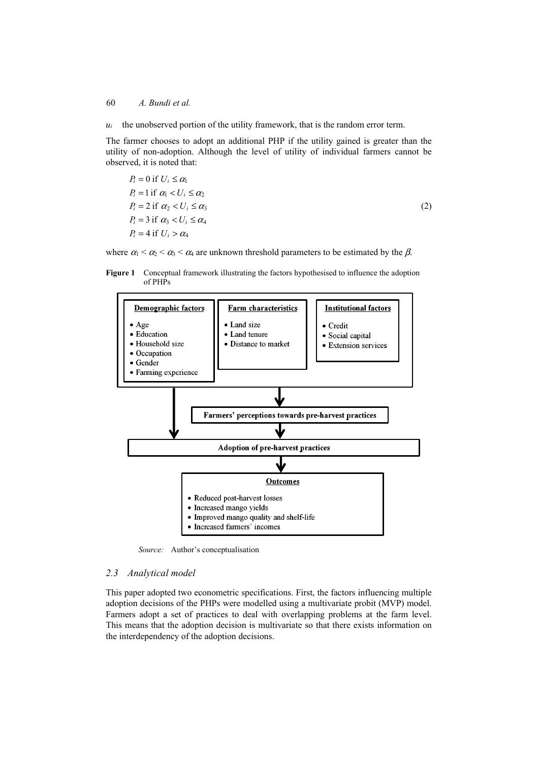$u_i$  the unobserved portion of the utility framework, that is the random error term.

The farmer chooses to adopt an additional PHP if the utility gained is greater than the utility of non-adoption. Although the level of utility of individual farmers cannot be observed, it is noted that:

 $P_i = 0$  if  $U_i \le \alpha_1$  $P_i = 1$  if  $\alpha_1 < U_i \le \alpha_2$  $P_i = 2$  if  $\alpha_2 < U_i \le \alpha_3$  $P_i = 3$  if  $\alpha_3 < U_i \le \alpha_4$  $P_i = 4$  if  $U_i > \alpha_4$ 

(2)

where  $\alpha_1 < \alpha_2 < \alpha_3 < \alpha_4$  are unknown threshold parameters to be estimated by the  $\beta$ .





*Source:* Author's conceptualisation

## *2.3 Analytical model*

This paper adopted two econometric specifications. First, the factors influencing multiple adoption decisions of the PHPs were modelled using a multivariate probit (MVP) model. Farmers adopt a set of practices to deal with overlapping problems at the farm level. This means that the adoption decision is multivariate so that there exists information on the interdependency of the adoption decisions.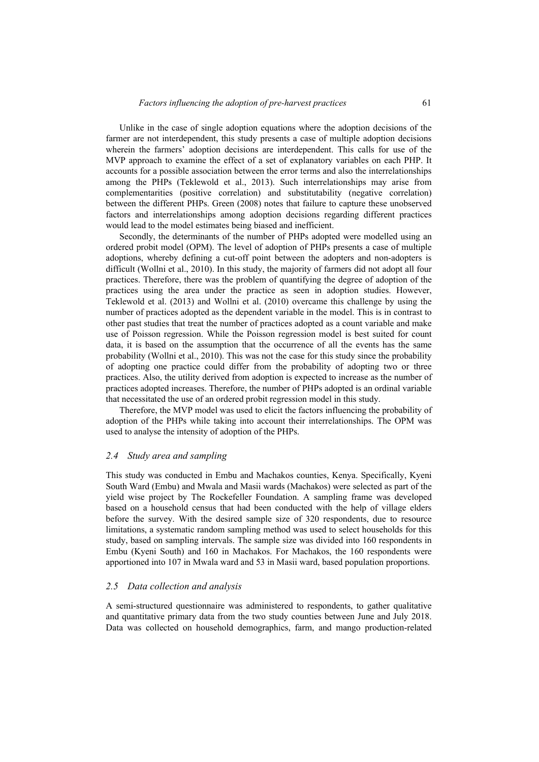Unlike in the case of single adoption equations where the adoption decisions of the farmer are not interdependent, this study presents a case of multiple adoption decisions wherein the farmers' adoption decisions are interdependent. This calls for use of the MVP approach to examine the effect of a set of explanatory variables on each PHP. It accounts for a possible association between the error terms and also the interrelationships among the PHPs (Teklewold et al., 2013). Such interrelationships may arise from complementarities (positive correlation) and substitutability (negative correlation) between the different PHPs. Green (2008) notes that failure to capture these unobserved factors and interrelationships among adoption decisions regarding different practices would lead to the model estimates being biased and inefficient.

Secondly, the determinants of the number of PHPs adopted were modelled using an ordered probit model (OPM). The level of adoption of PHPs presents a case of multiple adoptions, whereby defining a cut-off point between the adopters and non-adopters is difficult (Wollni et al., 2010). In this study, the majority of farmers did not adopt all four practices. Therefore, there was the problem of quantifying the degree of adoption of the practices using the area under the practice as seen in adoption studies. However, Teklewold et al. (2013) and Wollni et al. (2010) overcame this challenge by using the number of practices adopted as the dependent variable in the model. This is in contrast to other past studies that treat the number of practices adopted as a count variable and make use of Poisson regression. While the Poisson regression model is best suited for count data, it is based on the assumption that the occurrence of all the events has the same probability (Wollni et al., 2010). This was not the case for this study since the probability of adopting one practice could differ from the probability of adopting two or three practices. Also, the utility derived from adoption is expected to increase as the number of practices adopted increases. Therefore, the number of PHPs adopted is an ordinal variable that necessitated the use of an ordered probit regression model in this study.

Therefore, the MVP model was used to elicit the factors influencing the probability of adoption of the PHPs while taking into account their interrelationships. The OPM was used to analyse the intensity of adoption of the PHPs.

## *2.4 Study area and sampling*

This study was conducted in Embu and Machakos counties, Kenya. Specifically, Kyeni South Ward (Embu) and Mwala and Masii wards (Machakos) were selected as part of the yield wise project by The Rockefeller Foundation. A sampling frame was developed based on a household census that had been conducted with the help of village elders before the survey. With the desired sample size of 320 respondents, due to resource limitations, a systematic random sampling method was used to select households for this study, based on sampling intervals. The sample size was divided into 160 respondents in Embu (Kyeni South) and 160 in Machakos. For Machakos, the 160 respondents were apportioned into 107 in Mwala ward and 53 in Masii ward, based population proportions.

## *2.5 Data collection and analysis*

A semi-structured questionnaire was administered to respondents, to gather qualitative and quantitative primary data from the two study counties between June and July 2018. Data was collected on household demographics, farm, and mango production-related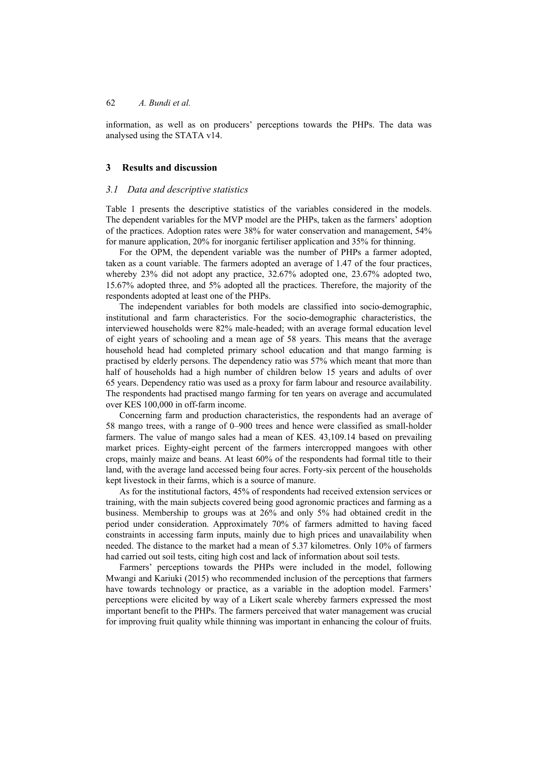information, as well as on producers' perceptions towards the PHPs. The data was analysed using the STATA v14.

### **3 Results and discussion**

### *3.1 Data and descriptive statistics*

Table 1 presents the descriptive statistics of the variables considered in the models. The dependent variables for the MVP model are the PHPs, taken as the farmers' adoption of the practices. Adoption rates were 38% for water conservation and management, 54% for manure application, 20% for inorganic fertiliser application and 35% for thinning.

For the OPM, the dependent variable was the number of PHPs a farmer adopted, taken as a count variable. The farmers adopted an average of 1.47 of the four practices, whereby 23% did not adopt any practice, 32.67% adopted one, 23.67% adopted two, 15.67% adopted three, and 5% adopted all the practices. Therefore, the majority of the respondents adopted at least one of the PHPs.

The independent variables for both models are classified into socio-demographic, institutional and farm characteristics. For the socio-demographic characteristics, the interviewed households were 82% male-headed; with an average formal education level of eight years of schooling and a mean age of 58 years. This means that the average household head had completed primary school education and that mango farming is practised by elderly persons. The dependency ratio was 57% which meant that more than half of households had a high number of children below 15 years and adults of over 65 years. Dependency ratio was used as a proxy for farm labour and resource availability. The respondents had practised mango farming for ten years on average and accumulated over KES 100,000 in off-farm income.

Concerning farm and production characteristics, the respondents had an average of 58 mango trees, with a range of 0–900 trees and hence were classified as small-holder farmers. The value of mango sales had a mean of KES. 43,109.14 based on prevailing market prices. Eighty-eight percent of the farmers intercropped mangoes with other crops, mainly maize and beans. At least 60% of the respondents had formal title to their land, with the average land accessed being four acres. Forty-six percent of the households kept livestock in their farms, which is a source of manure.

As for the institutional factors, 45% of respondents had received extension services or training, with the main subjects covered being good agronomic practices and farming as a business. Membership to groups was at 26% and only 5% had obtained credit in the period under consideration. Approximately 70% of farmers admitted to having faced constraints in accessing farm inputs, mainly due to high prices and unavailability when needed. The distance to the market had a mean of 5.37 kilometres. Only 10% of farmers had carried out soil tests, citing high cost and lack of information about soil tests.

Farmers' perceptions towards the PHPs were included in the model, following Mwangi and Kariuki (2015) who recommended inclusion of the perceptions that farmers have towards technology or practice, as a variable in the adoption model. Farmers' perceptions were elicited by way of a Likert scale whereby farmers expressed the most important benefit to the PHPs. The farmers perceived that water management was crucial for improving fruit quality while thinning was important in enhancing the colour of fruits.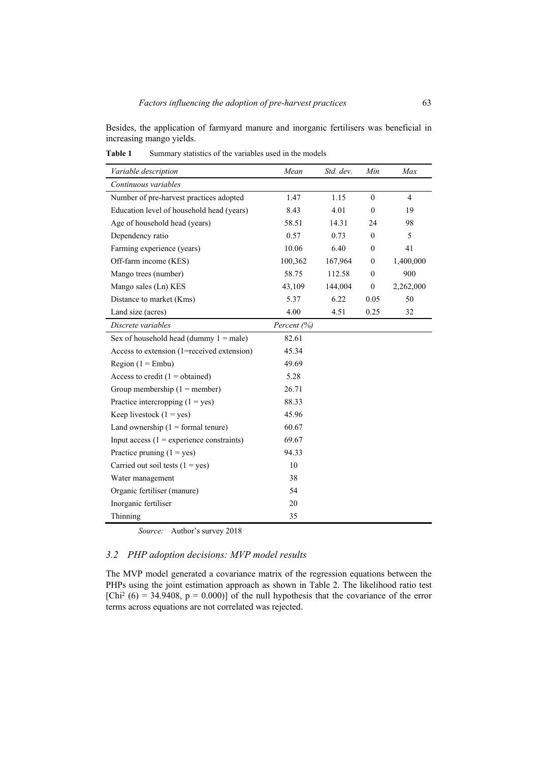Besides, the application of farmyard manure and inorganic fertilisers was beneficial in increasing mango yields.

| Variable description                        | Mean        | Std. dev. | Min          | Max            |
|---------------------------------------------|-------------|-----------|--------------|----------------|
| Continuous variables                        |             |           |              |                |
| Number of pre-harvest practices adopted     | 1.47        | 1.15      | $\theta$     | $\overline{4}$ |
| Education level of household head (years)   | 8.43        | 4.01      | $\theta$     | 19             |
| Age of household head (years)               | 58.51       | 14.31     | 24           | 98             |
| Dependency ratio                            | 0.57        | 0.73      | $\theta$     | 5              |
| Farming experience (years)                  | 10.06       | 6.40      | $\theta$     | 41             |
| Off-farm income (KES)                       | 100,362     | 167,964   | $\mathbf{0}$ | 1,400,000      |
| Mango trees (number)                        | 58.75       | 112.58    | $\mathbf{0}$ | 900            |
| Mango sales (Ln) KES                        | 43,109      | 144,004   | $\mathbf{0}$ | 2,262,000      |
| Distance to market (Kms)                    | 5.37        | 6.22      | 0.05         | 50             |
| Land size (acres)                           | 4.00        | 4.51      | 0.25         | 32             |
| Discrete variables                          | Percent (%) |           |              |                |
| Sex of household head (dummy $1 = male$ )   | 82.61       |           |              |                |
| Access to extension (1=received extension)  | 45.34       |           |              |                |
| Region $(1 =$ Embu)                         | 49.69       |           |              |                |
| Access to credit $(1 = obtained)$           | 5.28        |           |              |                |
| Group membership $(1 =$ member)             | 26.71       |           |              |                |
| Practice intercropping $(1 = yes)$          | 88.33       |           |              |                |
| Keep livestock $(1 = yes)$                  | 45.96       |           |              |                |
| Land ownership $(1 = \text{formal tenure})$ | 60.67       |           |              |                |
| Input access $(1 =$ experience constraints) | 69.67       |           |              |                |
| Practice pruning $(1 = yes)$                | 94.33       |           |              |                |
| Carried out soil tests $(1 = yes)$          | 10          |           |              |                |
| Water management                            | 38          |           |              |                |
| Organic fertiliser (manure)                 | 54          |           |              |                |
| Inorganic fertiliser                        | 20          |           |              |                |
| Thinning                                    | 35          |           |              |                |

**Table 1** Summary statistics of the variables used in the models

*Source:* Author's survey 2018

## *3.2 PHP adoption decisions: MVP model results*

The MVP model generated a covariance matrix of the regression equations between the PHPs using the joint estimation approach as shown in Table 2. The likelihood ratio test [Chi<sup>2</sup> (6) = 34.9408,  $p = 0.000$ ] of the null hypothesis that the covariance of the error terms across equations are not correlated was rejected.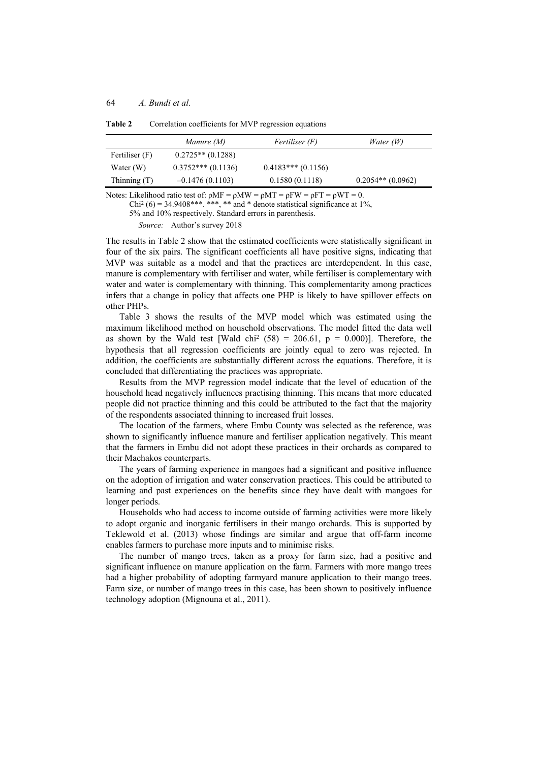|                | Manure (M)          | <i>Fertiliser (F)</i> | Water (W)           |
|----------------|---------------------|-----------------------|---------------------|
| Fertiliser (F) | $0.2725**$ (0.1288) |                       |                     |
| Water $(W)$    | $0.3752***(0.1136)$ | $0.4183***(0.1156)$   |                     |
| Thinning $(T)$ | $-0.1476(0.1103)$   | 0.1580(0.1118)        | $0.2054**$ (0.0962) |

Table 2 Correlation coefficients for MVP regression equations

Notes: Likelihood ratio test of:  $\rho MF = \rho MW = \rho MT = \rho FW = \rho FT = \rho WT = 0$ . Chi<sup>2</sup> (6) = 34.9408\*\*\*. \*\*\*, \*\* and \* denote statistical significance at 1%,

5% and 10% respectively. Standard errors in parenthesis.

*Source:* Author's survey 2018

The results in Table 2 show that the estimated coefficients were statistically significant in four of the six pairs. The significant coefficients all have positive signs, indicating that MVP was suitable as a model and that the practices are interdependent. In this case, manure is complementary with fertiliser and water, while fertiliser is complementary with water and water is complementary with thinning. This complementarity among practices infers that a change in policy that affects one PHP is likely to have spillover effects on other PHPs.

Table 3 shows the results of the MVP model which was estimated using the maximum likelihood method on household observations. The model fitted the data well as shown by the Wald test [Wald chi<sup>2</sup> (58) = 206.61, p = 0.000)]. Therefore, the hypothesis that all regression coefficients are jointly equal to zero was rejected. In addition, the coefficients are substantially different across the equations. Therefore, it is concluded that differentiating the practices was appropriate.

Results from the MVP regression model indicate that the level of education of the household head negatively influences practising thinning. This means that more educated people did not practice thinning and this could be attributed to the fact that the majority of the respondents associated thinning to increased fruit losses.

The location of the farmers, where Embu County was selected as the reference, was shown to significantly influence manure and fertiliser application negatively. This meant that the farmers in Embu did not adopt these practices in their orchards as compared to their Machakos counterparts.

The years of farming experience in mangoes had a significant and positive influence on the adoption of irrigation and water conservation practices. This could be attributed to learning and past experiences on the benefits since they have dealt with mangoes for longer periods.

Households who had access to income outside of farming activities were more likely to adopt organic and inorganic fertilisers in their mango orchards. This is supported by Teklewold et al. (2013) whose findings are similar and argue that off-farm income enables farmers to purchase more inputs and to minimise risks.

The number of mango trees, taken as a proxy for farm size, had a positive and significant influence on manure application on the farm. Farmers with more mango trees had a higher probability of adopting farmyard manure application to their mango trees. Farm size, or number of mango trees in this case, has been shown to positively influence technology adoption (Mignouna et al., 2011).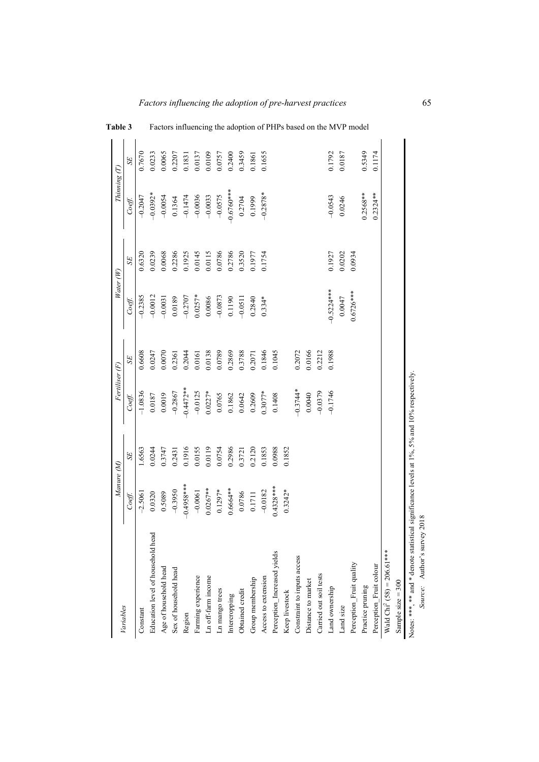| Variables                              | Manure (M)   |                | Fertiliser (F) |           | Water (W)    |           | Thiming(T)   |           |
|----------------------------------------|--------------|----------------|----------------|-----------|--------------|-----------|--------------|-----------|
|                                        | Coeff.       | SE <sub></sub> | Coeff.         | <b>SE</b> | Coeff.       | <b>SE</b> | Coeff.       | <b>SE</b> |
| Constant                               | $-2.5061$    | 1.6563         | $-1.0836$      | 0.6608    | $-0.2385$    | 0.6320    | $-0.2047$    | 0.7670    |
| Education level of household head      | 0.0320       | 0.0244         | 0.0187         | 0.0247    | $-0.0012$    | 0.0239    | $-0.0392*$   | 0.0233    |
| Age of household head                  | 0.5089       | 0.3747         | 0.0019         | 0.0070    | $-0.0031$    | 0.0068    | $-0.0054$    | 0.0065    |
| Sex of household head                  | $-0.3950$    | 0.2431         | $-0.2867$      | 0.2361    | 0.0189       | 0.2286    | 0.1364       | 0.2207    |
| Region                                 | $-0.4958***$ | 0.1916         | $-0.4472**$    | 0.2044    | $-0.2707$    | 0.1925    | $-0.1474$    | 0.1831    |
| Farming experience                     | $-0.0061$    | 0.0155         | $-0.0125$      | 0.0161    | $0.0257*$    | 0.0145    | $-0.0036$    | 0.0137    |
| Ln off-farm income                     | $0.0267***$  | 0.0119         | $0.0227*$      | 0.0138    | 0.0086       | 0.0115    | $-0.0033$    | 0.0109    |
| Ln mango trees                         | $0.1297*$    | 0.0754         | 0.0765         | 0.0789    | $-0.0873$    | 0.0786    | $-0.0575$    | 0.0757    |
| Intercropping                          | $0.6664***$  | 0.2986         | 0.1862         | 0.2869    | 0.1190       | 0.2786    | $-0.6760***$ | 0.2400    |
| Obtained credit                        | 0.0786       | 0.3721         | 0.0642         | 0.3788    | $-0.0511$    | 0.3520    | 0.2704       | 0.3459    |
| Group membership                       | 0.1711       | 0.2120         | 0.2609         | 0.2071    | 0.2840       | 0.1977    | 0.1999       | 0.1861    |
| Access to extension                    | $-0.0182$    | 0.1853         | $0.3077*$      | 0.1846    | $0.334*$     | 0.1754    | $-0.2878*$   | 0.1655    |
| Perception_Increased yields            | $0.4328***$  | 0.0988         | 0.1408         | 0.1045    |              |           |              |           |
| Keep livestock                         | $0.3242*$    | 0.1852         |                |           |              |           |              |           |
| Constraint to inputs access            |              |                | $0.3744*$      | 0.2072    |              |           |              |           |
| Distance to market                     |              |                | 0.0040         | 0.0166    |              |           |              |           |
| Carried out soil tests                 |              |                | $-0.0379$      | 0.2212    |              |           |              |           |
| Land ownership                         |              |                | $-0.1746$      | 0.1988    | $-0.5224***$ | 0.1927    | $-0.0543$    | 0.1792    |
| Land size                              |              |                |                |           | 0.0047       | 0.0202    | 0.0246       | 0.0187    |
| Perception_Fruit quality               |              |                |                |           | $0.6726***$  | 0.0934    |              |           |
| Practice pruning                       |              |                |                |           |              |           | $0.2568***$  | 0.5349    |
| Perception_Fruit colour                |              |                |                |           |              |           | $0.2324***$  | 0.1174    |
| Wald Chi <sup>2</sup> (58) = 206.61*** |              |                |                |           |              |           |              |           |
| Sample size $= 300$                    |              |                |                |           |              |           |              |           |

**Table 3** Factors influencing the adoption of PHPs based on the MVP model

Notes: \*\*\*, \*\* and \* denote statistical significance levels at 1%, 5% and 10% respectively.<br>Source: Author's survey 2018 Notes: \*\*\*, \*\* and \* denote statistical significance levels at  $1\%$ , 5% and 10% respectively. *Source:* Author's survey 2018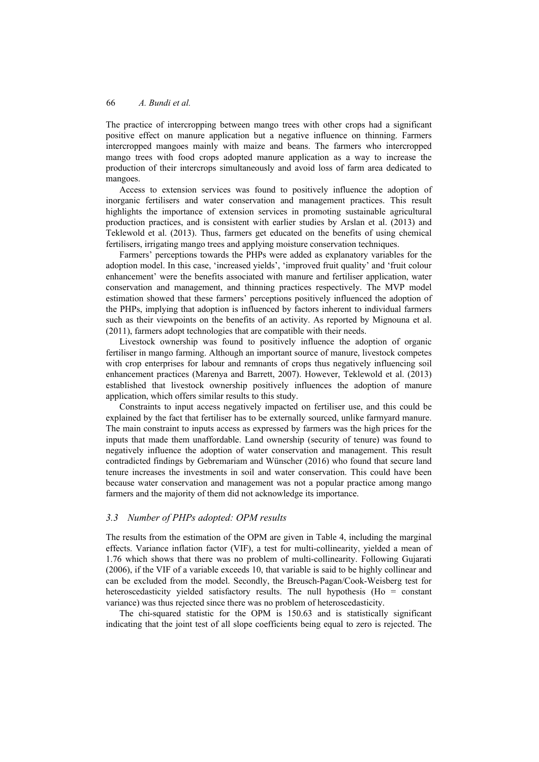The practice of intercropping between mango trees with other crops had a significant positive effect on manure application but a negative influence on thinning. Farmers intercropped mangoes mainly with maize and beans. The farmers who intercropped mango trees with food crops adopted manure application as a way to increase the production of their intercrops simultaneously and avoid loss of farm area dedicated to mangoes.

Access to extension services was found to positively influence the adoption of inorganic fertilisers and water conservation and management practices. This result highlights the importance of extension services in promoting sustainable agricultural production practices, and is consistent with earlier studies by Arslan et al. (2013) and Teklewold et al. (2013). Thus, farmers get educated on the benefits of using chemical fertilisers, irrigating mango trees and applying moisture conservation techniques.

Farmers' perceptions towards the PHPs were added as explanatory variables for the adoption model. In this case, 'increased yields', 'improved fruit quality' and 'fruit colour enhancement' were the benefits associated with manure and fertiliser application, water conservation and management, and thinning practices respectively. The MVP model estimation showed that these farmers' perceptions positively influenced the adoption of the PHPs, implying that adoption is influenced by factors inherent to individual farmers such as their viewpoints on the benefits of an activity. As reported by Mignouna et al. (2011), farmers adopt technologies that are compatible with their needs.

Livestock ownership was found to positively influence the adoption of organic fertiliser in mango farming. Although an important source of manure, livestock competes with crop enterprises for labour and remnants of crops thus negatively influencing soil enhancement practices (Marenya and Barrett, 2007). However, Teklewold et al. (2013) established that livestock ownership positively influences the adoption of manure application, which offers similar results to this study.

Constraints to input access negatively impacted on fertiliser use, and this could be explained by the fact that fertiliser has to be externally sourced, unlike farmyard manure. The main constraint to inputs access as expressed by farmers was the high prices for the inputs that made them unaffordable. Land ownership (security of tenure) was found to negatively influence the adoption of water conservation and management. This result contradicted findings by Gebremariam and Wünscher (2016) who found that secure land tenure increases the investments in soil and water conservation. This could have been because water conservation and management was not a popular practice among mango farmers and the majority of them did not acknowledge its importance.

## *3.3 Number of PHPs adopted: OPM results*

The results from the estimation of the OPM are given in Table 4, including the marginal effects. Variance inflation factor (VIF), a test for multi-collinearity, yielded a mean of 1.76 which shows that there was no problem of multi-collinearity. Following Gujarati (2006), if the VIF of a variable exceeds 10, that variable is said to be highly collinear and can be excluded from the model. Secondly, the Breusch-Pagan/Cook-Weisberg test for heteroscedasticity yielded satisfactory results. The null hypothesis (Ho = constant variance) was thus rejected since there was no problem of heteroscedasticity.

The chi-squared statistic for the OPM is 150.63 and is statistically significant indicating that the joint test of all slope coefficients being equal to zero is rejected. The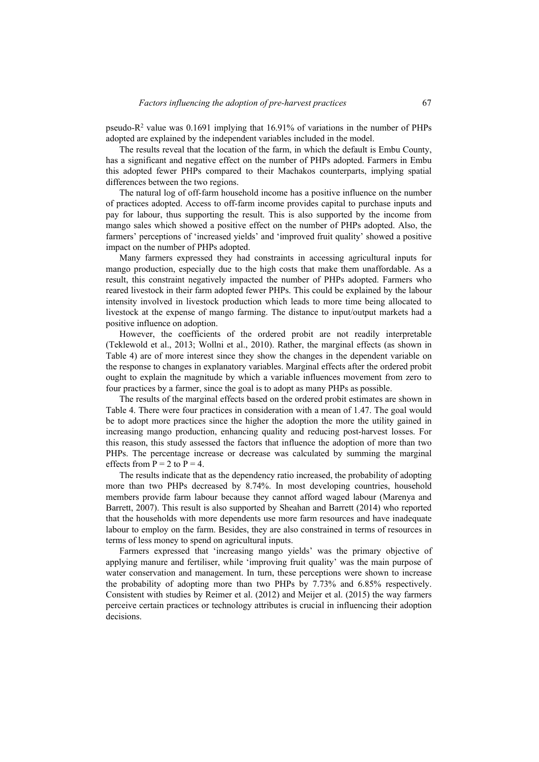pseudo- $R^2$  value was 0.1691 implying that 16.91% of variations in the number of PHPs adopted are explained by the independent variables included in the model.

The results reveal that the location of the farm, in which the default is Embu County, has a significant and negative effect on the number of PHPs adopted. Farmers in Embu this adopted fewer PHPs compared to their Machakos counterparts, implying spatial differences between the two regions.

The natural log of off-farm household income has a positive influence on the number of practices adopted. Access to off-farm income provides capital to purchase inputs and pay for labour, thus supporting the result. This is also supported by the income from mango sales which showed a positive effect on the number of PHPs adopted. Also, the farmers' perceptions of 'increased yields' and 'improved fruit quality' showed a positive impact on the number of PHPs adopted.

Many farmers expressed they had constraints in accessing agricultural inputs for mango production, especially due to the high costs that make them unaffordable. As a result, this constraint negatively impacted the number of PHPs adopted. Farmers who reared livestock in their farm adopted fewer PHPs. This could be explained by the labour intensity involved in livestock production which leads to more time being allocated to livestock at the expense of mango farming. The distance to input/output markets had a positive influence on adoption.

However, the coefficients of the ordered probit are not readily interpretable (Teklewold et al., 2013; Wollni et al., 2010). Rather, the marginal effects (as shown in Table 4) are of more interest since they show the changes in the dependent variable on the response to changes in explanatory variables. Marginal effects after the ordered probit ought to explain the magnitude by which a variable influences movement from zero to four practices by a farmer, since the goal is to adopt as many PHPs as possible.

The results of the marginal effects based on the ordered probit estimates are shown in Table 4. There were four practices in consideration with a mean of 1.47. The goal would be to adopt more practices since the higher the adoption the more the utility gained in increasing mango production, enhancing quality and reducing post-harvest losses. For this reason, this study assessed the factors that influence the adoption of more than two PHPs. The percentage increase or decrease was calculated by summing the marginal effects from  $P = 2$  to  $P = 4$ .

The results indicate that as the dependency ratio increased, the probability of adopting more than two PHPs decreased by 8.74%. In most developing countries, household members provide farm labour because they cannot afford waged labour (Marenya and Barrett, 2007). This result is also supported by Sheahan and Barrett (2014) who reported that the households with more dependents use more farm resources and have inadequate labour to employ on the farm. Besides, they are also constrained in terms of resources in terms of less money to spend on agricultural inputs.

Farmers expressed that 'increasing mango yields' was the primary objective of applying manure and fertiliser, while 'improving fruit quality' was the main purpose of water conservation and management. In turn, these perceptions were shown to increase the probability of adopting more than two PHPs by 7.73% and 6.85% respectively. Consistent with studies by Reimer et al. (2012) and Meijer et al. (2015) the way farmers perceive certain practices or technology attributes is crucial in influencing their adoption decisions.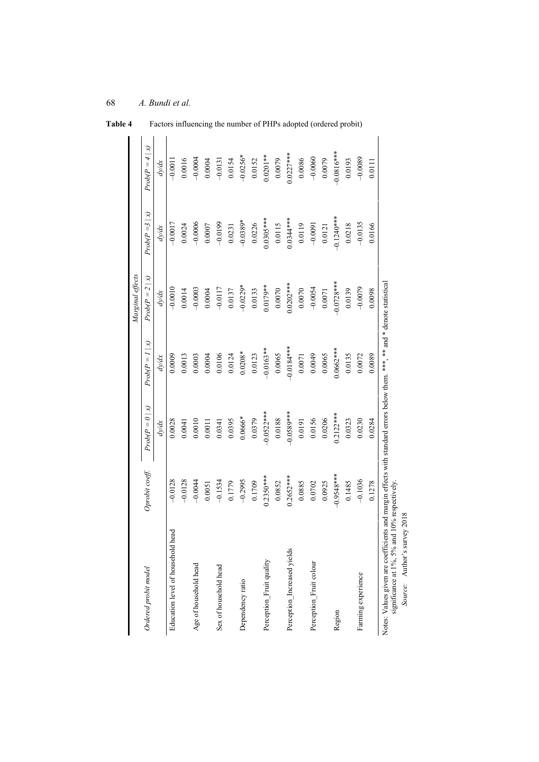|                                                                                                                                                                                                                              |                |               |                   | Marginal effects  |                   |                   |
|------------------------------------------------------------------------------------------------------------------------------------------------------------------------------------------------------------------------------|----------------|---------------|-------------------|-------------------|-------------------|-------------------|
| Ordered probit model                                                                                                                                                                                                         | Oprobit coeff. | $Prob(P=0 x)$ | $Prob(P = 1   x)$ | $Prob(P = 2   x)$ | $Prob(P = 3   x)$ | $Prob(P = 4   x)$ |
|                                                                                                                                                                                                                              |                | dy/dx         | dy/dx             | dy/dx             | dy/dx             | dy/dx             |
| Education level of household head                                                                                                                                                                                            | $-0.0128$      | 0.0028        | 0.0009            | $-0.0010$         | $-0.0017$         | $-0.0011$         |
|                                                                                                                                                                                                                              | $-0.0128$      | 0.0041        | 0.0013            | 0.0014            | 0.0024            | 0.0016            |
| Age of household head                                                                                                                                                                                                        | $-0.0044$      | 0.0010        | 0.0003            | $-0.0003$         | $-0.0006$         | $-0.0004$         |
|                                                                                                                                                                                                                              | 0.0051         | 0.0011        | 0.0004            | 0.0004            | 0.0007            | 0.0004            |
| Sex of household head                                                                                                                                                                                                        | $-0.1534$      | 0.0341        | 0.0106            | $-0.0117$         | $-0.0199$         | $-0.0131$         |
|                                                                                                                                                                                                                              | 0.1779         | 0.0395        | 0.0124            | 0.0137            | 0.0231            | 0.0154            |
| Dependency ratio                                                                                                                                                                                                             | $-0.2995$      | $0.0666*$     | $0.0208*$         | $-0.0229*$        | $-0.0389*$        | $-0.0256*$        |
|                                                                                                                                                                                                                              | 0.1709         | 0.0379        | 0.0123            | 0.0133            | 0.0226            | 0.0152            |
| Perception_Fruit quality                                                                                                                                                                                                     | $0.2350***$    | $-0.0522***$  | $-0.0163**$       | $0.0179***$       | $0.0305***$       | $0.0201**$        |
|                                                                                                                                                                                                                              | 0.0852         | 0.0188        | 0.0065            | 0.0070            | 0.0115            | 0.0079            |
| Perception_Increased yields                                                                                                                                                                                                  | $0.2652***$    | $-0.0589***$  | $-0.0184***$      | $0.0202***$       | 0.0344 ***        | $0.0227***$       |
|                                                                                                                                                                                                                              | 0.0885         | 0.0191        | 0.0071            | 0.0070            | 0.0119            | 0.0086            |
| Perception_Fruit colour                                                                                                                                                                                                      | 0.0702         | 0.0156        | 0.0049            | $-0.0054$         | $-0.0091$         | $-0.0060$         |
|                                                                                                                                                                                                                              | 0.0925         | 0.0206        | 0.0065            | 0.0071            | 0.0121            | 0.0079            |
| Region                                                                                                                                                                                                                       | $-0.9548***$   | $0.2122***$   | $0.0662***$       | $-0.0728***$      | $-0.1240***$      | $-0.0816***$      |
|                                                                                                                                                                                                                              | 0.1485         | 0.0323        | 0.0135            | 0.0139            | 0.0218            | 0.0193            |
| Farming experience                                                                                                                                                                                                           | $-0.1036$      | 0.0230        | 0.0072            | $-0.0079$         | $-0.0135$         | $-0.0089$         |
|                                                                                                                                                                                                                              | 0.1278         | 0.0284        | 0.0089            | 0.0098            | 0.0166            | 0.0111            |
| leading the second second second second that the second that is a second that is a second that is a second that is a second that is a second that is a second that is a second that is a second second that is a second that |                |               |                   |                   |                   |                   |

**Table 4** Factors influencing the number of PHPs adopted (ordered probit)

Notes: Values given are coefficients and margin effects with standard errors below them. \*\*\*, \*\* and \* denote statistical aenote statistical .<br>and ŗ. Notes: Values given are coefficients and margin effects with standard errors below them.<sup>4</sup> significance at 1%, 5% and 10% respectively. significance at 1%, 5% and 10% respectively.

Source: Author's survey 2018 *Source:* Author's survey 2018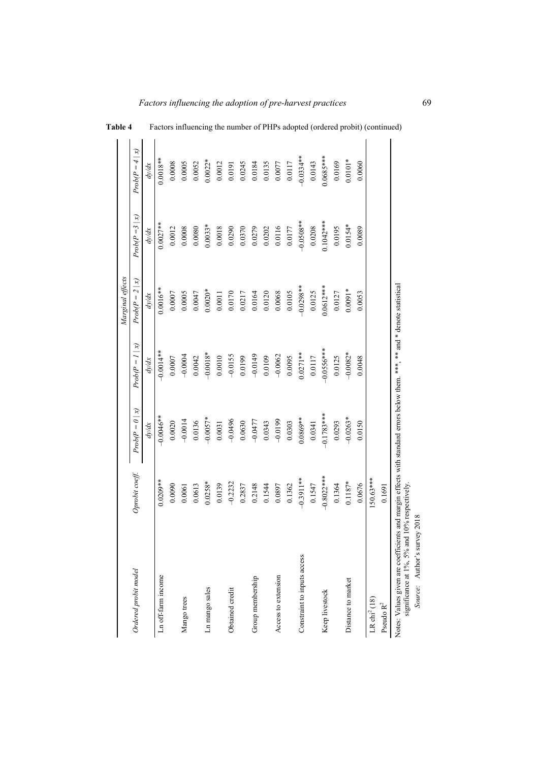|                                                                                                                           |                |                   |                   | Marginal effects  |                    |                   |
|---------------------------------------------------------------------------------------------------------------------------|----------------|-------------------|-------------------|-------------------|--------------------|-------------------|
| Ordered probit model                                                                                                      | Oprobit coeff. | $Prob(P = 0   x)$ | $Prob(P = 1   x)$ | $Prob(P = 2   x)$ | $Prob(P=3 \mid x)$ | $Prob(P = 4   x)$ |
|                                                                                                                           |                | dy/dx             | dy/dx             | dy/dx             | dyldx              | dy/dx             |
| Ln off-farm income                                                                                                        | $0.0209**$     | $-0.0046**$       | $-0.0014**$       | $0.0016**$        | $0.0027***$        | $0.0018**$        |
|                                                                                                                           | 0.0090         | 0.0020            | 0.0007            | 0.0007            | 0.0012             | 0.0008            |
| Mango trees                                                                                                               | 0.0061         | $-0.0014$         | $-0.0004$         | 0.0005            | 0.0008             | 0.0005            |
|                                                                                                                           | 0.0613         | 0.0136            | 0.0042            | 0.0047            | 0.0080             | 0.0052            |
| Ln mango sales                                                                                                            | $0.0258*$      | $-0.0057*$        | $-0.0018*$        | $0.0020*$         | $0.0033*$          | $0.0022*$         |
|                                                                                                                           | 0.0139         | 0.0031            | 0.0010            | 0.0011            | 0.0018             | 0.0012            |
| Obtained credit                                                                                                           | $-0.2232$      | $-0.0496$         | $-0.0155$         | 0.0170            | 0.0290             | 0.0191            |
|                                                                                                                           | 0.2837         | 0.0630            | 0.0199            | 0.0217            | 0.0370             | 0.0245            |
| Group membership                                                                                                          | 0.2148         | $-0.0477$         | $-0.0149$         | 0.0164            | 0.0279             | 0.0184            |
|                                                                                                                           | 0.1544         | 0.0343            | 0.0109            | 0.0120            | 0.0202             | 0.0135            |
| Access to extension                                                                                                       | 0.0897         | $-0.0199$         | $-0.0062$         | 0.0068            | 0.0116             | 0.0077            |
|                                                                                                                           | 0.1362         | 0.0303            | 0.0095            | 0.0105            | 0.0177             | 0.0117            |
| Constraint to inputs access                                                                                               | $-0.3911**$    | $0.0869**$        | $0.0271**$        | $-0.0298**$       | $-0.0508**$        | $-0.0334***$      |
|                                                                                                                           | 0.1547         | 0.0341            | 0.0117            | 0.0125            | 0.0208             | 0.0143            |
| Keep livestock                                                                                                            | $-0.8022***$   | $-0.1783***$      | $-0.0556***$      | $0.0612***$       | $0.1042***$        | $0.0685***$       |
|                                                                                                                           | 0.1364         | 0.0293            | 0.0125            | 0.0127            | 0.0195             | 0.0169            |
| Distance to market                                                                                                        | $0.1187*$      | $-0.0263*$        | $-0.0082*$        | $0.0091*$         | $0.0154*$          | $0.0101*$         |
|                                                                                                                           | 0.0676         | 0.0150            | 0.0048            | 0.0053            | 0.0089             | 0.0060            |
| LR $\text{chi}^2(18)$                                                                                                     | $150.63***$    |                   |                   |                   |                    |                   |
| Pseudo R <sup>2</sup>                                                                                                     | 0.1691         |                   |                   |                   |                    |                   |
| Notes: Values given are coefficients and margin effects with standard errors below them. ***, ** and * denote statistical |                |                   |                   |                   |                    |                   |

**Table 4** Factors influencing the number of PHPs adopted (ordered probit) (continued)

significance at 1%, 5% and 10% respectively. Source: Author's survey 2018 *Source:* Author's survey 2018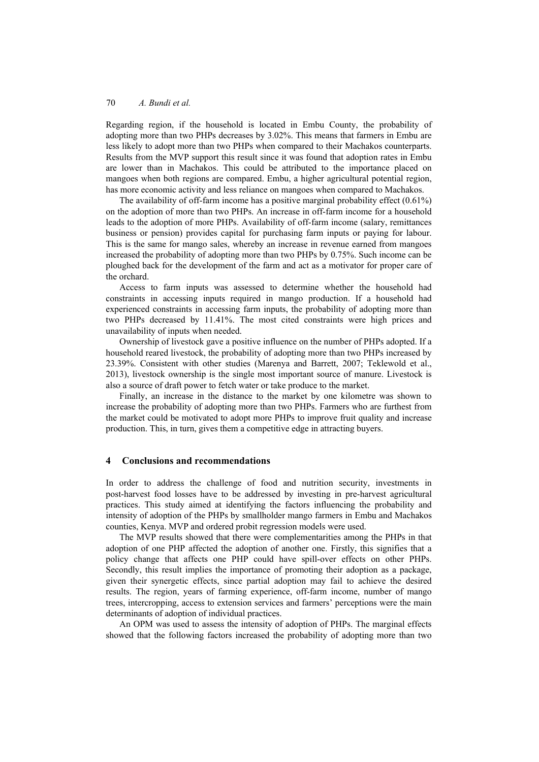Regarding region, if the household is located in Embu County, the probability of adopting more than two PHPs decreases by 3.02%. This means that farmers in Embu are less likely to adopt more than two PHPs when compared to their Machakos counterparts. Results from the MVP support this result since it was found that adoption rates in Embu are lower than in Machakos. This could be attributed to the importance placed on mangoes when both regions are compared. Embu, a higher agricultural potential region, has more economic activity and less reliance on mangoes when compared to Machakos.

The availability of off-farm income has a positive marginal probability effect (0.61%) on the adoption of more than two PHPs. An increase in off-farm income for a household leads to the adoption of more PHPs. Availability of off-farm income (salary, remittances business or pension) provides capital for purchasing farm inputs or paying for labour. This is the same for mango sales, whereby an increase in revenue earned from mangoes increased the probability of adopting more than two PHPs by 0.75%. Such income can be ploughed back for the development of the farm and act as a motivator for proper care of the orchard.

Access to farm inputs was assessed to determine whether the household had constraints in accessing inputs required in mango production. If a household had experienced constraints in accessing farm inputs, the probability of adopting more than two PHPs decreased by 11.41%. The most cited constraints were high prices and unavailability of inputs when needed.

Ownership of livestock gave a positive influence on the number of PHPs adopted. If a household reared livestock, the probability of adopting more than two PHPs increased by 23.39%. Consistent with other studies (Marenya and Barrett, 2007; Teklewold et al., 2013), livestock ownership is the single most important source of manure. Livestock is also a source of draft power to fetch water or take produce to the market.

Finally, an increase in the distance to the market by one kilometre was shown to increase the probability of adopting more than two PHPs. Farmers who are furthest from the market could be motivated to adopt more PHPs to improve fruit quality and increase production. This, in turn, gives them a competitive edge in attracting buyers.

## **4 Conclusions and recommendations**

In order to address the challenge of food and nutrition security, investments in post-harvest food losses have to be addressed by investing in pre-harvest agricultural practices. This study aimed at identifying the factors influencing the probability and intensity of adoption of the PHPs by smallholder mango farmers in Embu and Machakos counties, Kenya. MVP and ordered probit regression models were used.

The MVP results showed that there were complementarities among the PHPs in that adoption of one PHP affected the adoption of another one. Firstly, this signifies that a policy change that affects one PHP could have spill-over effects on other PHPs. Secondly, this result implies the importance of promoting their adoption as a package, given their synergetic effects, since partial adoption may fail to achieve the desired results. The region, years of farming experience, off-farm income, number of mango trees, intercropping, access to extension services and farmers' perceptions were the main determinants of adoption of individual practices.

An OPM was used to assess the intensity of adoption of PHPs. The marginal effects showed that the following factors increased the probability of adopting more than two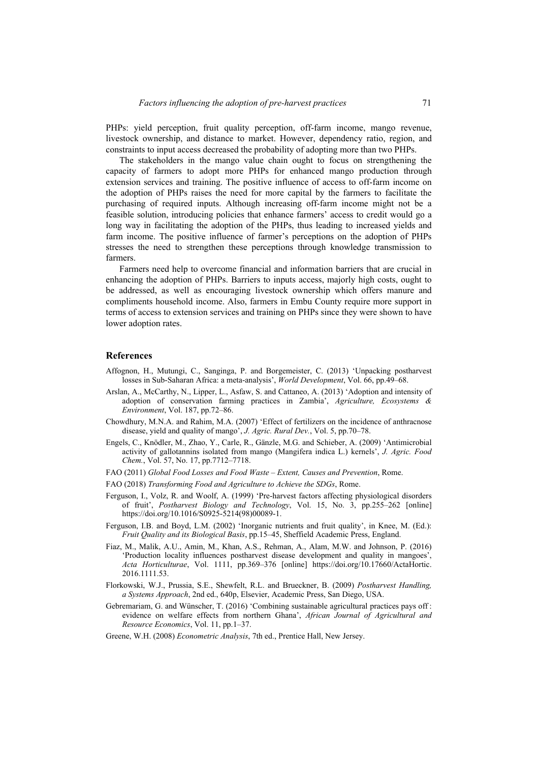PHPs: yield perception, fruit quality perception, off-farm income, mango revenue, livestock ownership, and distance to market. However, dependency ratio, region, and constraints to input access decreased the probability of adopting more than two PHPs.

The stakeholders in the mango value chain ought to focus on strengthening the capacity of farmers to adopt more PHPs for enhanced mango production through extension services and training. The positive influence of access to off-farm income on the adoption of PHPs raises the need for more capital by the farmers to facilitate the purchasing of required inputs. Although increasing off-farm income might not be a feasible solution, introducing policies that enhance farmers' access to credit would go a long way in facilitating the adoption of the PHPs, thus leading to increased yields and farm income. The positive influence of farmer's perceptions on the adoption of PHPs stresses the need to strengthen these perceptions through knowledge transmission to farmers.

Farmers need help to overcome financial and information barriers that are crucial in enhancing the adoption of PHPs. Barriers to inputs access, majorly high costs, ought to be addressed, as well as encouraging livestock ownership which offers manure and compliments household income. Also, farmers in Embu County require more support in terms of access to extension services and training on PHPs since they were shown to have lower adoption rates.

#### **References**

- Affognon, H., Mutungi, C., Sanginga, P. and Borgemeister, C. (2013) 'Unpacking postharvest losses in Sub-Saharan Africa: a meta-analysis', *World Development*, Vol. 66, pp.49–68.
- Arslan, A., McCarthy, N., Lipper, L., Asfaw, S. and Cattaneo, A. (2013) 'Adoption and intensity of adoption of conservation farming practices in Zambia', *Agriculture, Ecosystems & Environment*, Vol. 187, pp.72–86.
- Chowdhury, M.N.A. and Rahim, M.A. (2007) 'Effect of fertilizers on the incidence of anthracnose disease, yield and quality of mango', *J. Agric. Rural Dev.*, Vol. 5, pp.70–78.
- Engels, C., Knödler, M., Zhao, Y., Carle, R., Gänzle, M.G. and Schieber, A. (2009) 'Antimicrobial activity of gallotannins isolated from mango (Mangifera indica L.) kernels', *J. Agric. Food Chem.*, Vol. 57, No. 17, pp.7712–7718.
- FAO (2011) *Global Food Losses and Food Waste Extent, Causes and Prevention*, Rome.
- FAO (2018) *Transforming Food and Agriculture to Achieve the SDGs*, Rome.
- Ferguson, I., Volz, R. and Woolf, A. (1999) 'Pre-harvest factors affecting physiological disorders of fruit', *Postharvest Biology and Technology*, Vol. 15, No. 3, pp.255–262 [online] https://doi.org/10.1016/S0925-5214(98)00089-1.
- Ferguson, I.B. and Boyd, L.M. (2002) 'Inorganic nutrients and fruit quality', in Knee, M. (Ed.): *Fruit Quality and its Biological Basis*, pp.15–45, Sheffield Academic Press, England.
- Fiaz, M., Malik, A.U., Amin, M., Khan, A.S., Rehman, A., Alam, M.W. and Johnson, P. (2016) 'Production locality influences postharvest disease development and quality in mangoes', *Acta Horticulturae*, Vol. 1111, pp.369–376 [online] https://doi.org/10.17660/ActaHortic. 2016.1111.53.
- Florkowski, W.J., Prussia, S.E., Shewfelt, R.L. and Brueckner, B. (2009) *Postharvest Handling, a Systems Approach*, 2nd ed., 640p, Elsevier, Academic Press, San Diego, USA.
- Gebremariam, G. and Wünscher, T. (2016) 'Combining sustainable agricultural practices pays off : evidence on welfare effects from northern Ghana', *African Journal of Agricultural and Resource Economics*, Vol. 11, pp.1–37.
- Greene, W.H. (2008) *Econometric Analysis*, 7th ed., Prentice Hall, New Jersey.